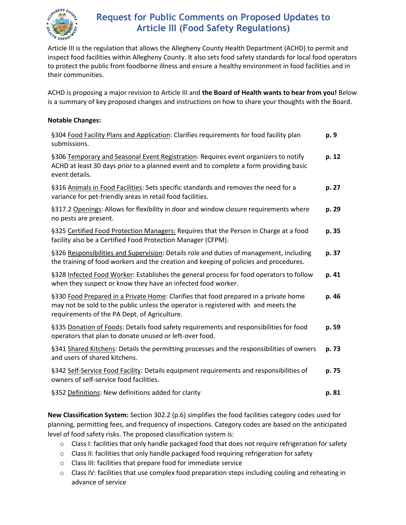

## **Request for Public Comments on Proposed Updates to Article III (Food Safety Regulations)**

Article III is the regulation that allows the Allegheny County Health Department (ACHD) to permit and inspect food facilities within Allegheny County. It also sets food safety standards for local food operators to protect the public from foodborne illness and ensure a healthy environment in food facilities and in their communities.

ACHD is proposing a major revision to Article III and **the Board of Health wants to hear from you!** Below is a summary of key proposed changes and instructions on how to share your thoughts with the Board.

#### **Notable Changes:**

| §304 Food Facility Plans and Application: Clarifies requirements for food facility plan<br>submissions.                                                                                                                             | p. 9  |
|-------------------------------------------------------------------------------------------------------------------------------------------------------------------------------------------------------------------------------------|-------|
| §306 Temporary and Seasonal Event Registration: Requires event organizers to notify<br>ACHD at least 30 days prior to a planned event and to complete a form providing basic<br>event details.                                      | p. 12 |
| §316 Animals in Food Facilities: Sets specific standards and removes the need for a<br>variance for pet-friendly areas in retail food facilities.                                                                                   | p. 27 |
| §317.2 Openings: Allows for flexibility in door and window closure requirements where<br>no pests are present.                                                                                                                      | p. 29 |
| §325 Certified Food Protection Managers: Requires that the Person in Charge at a food<br>facility also be a Certified Food Protection Manager (CFPM).                                                                               | p. 35 |
| §326 Responsibilities and Supervision: Details role and duties of management, including<br>the training of food workers and the creation and keeping of policies and procedures.                                                    | p. 37 |
| §328 Infected Food Worker: Establishes the general process for food operators to follow<br>when they suspect or know they have an infected food worker.                                                                             | p. 41 |
| §330 Food Prepared in a Private Home: Clarifies that food prepared in a private home<br>p. 46<br>may not be sold to the public unless the operator is registered with and meets the<br>requirements of the PA Dept. of Agriculture. |       |
| §335 Donation of Foods: Details food safety requirements and responsibilities for food<br>operators that plan to donate unused or left-over food.                                                                                   | p. 59 |
| §341 Shared Kitchens: Details the permitting processes and the responsibilities of owners<br>and users of shared kitchens.                                                                                                          | p. 73 |
| §342 Self-Service Food Facility: Details equipment requirements and responsibilities of<br>owners of self-service food facilities.                                                                                                  | p. 75 |
| §352 Definitions: New definitions added for clarity                                                                                                                                                                                 | p. 81 |

**New Classification System:** Section 302.2 (p.6) simplifies the food facilities category codes used for planning, permitting fees, and frequency of inspections. Category codes are based on the anticipated level of food safety risks. The proposed classification system is:

- $\circ$  Class I: facilities that only handle packaged food that does not require refrigeration for safety
- $\circ$  Class II: facilities that only handle packaged food requiring refrigeration for safety
- o Class III: facilities that prepare food for immediate service
- $\circ$  Class IV: facilities that use complex food preparation steps including cooling and reheating in advance of service